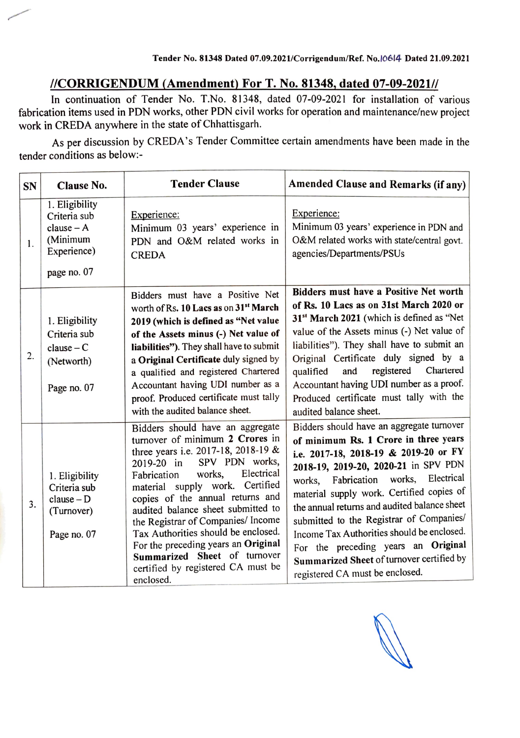## I/CORRIGENDUM (Amendment) For T. No. 81348, dated 07-09-2021//

In continuation of Tender No. T.No. 81348, dated 07-09-2021 for installation of various fabrication items used in PDN works, other PDN civil works for operation and maintenance/new project work in CREDA anywhere in the state of Chhattisgarh.

As per discussion by CREDA's Tender Committee certain amendments have been made in the tender conditions as below:-

| <b>SN</b>      | <b>Clause No.</b>                                                                        | <b>Tender Clause</b>                                                                                                                                                                                                                                                                                                                                                                                                                                                                                  | <b>Amended Clause and Remarks (if any)</b>                                                                                                                                                                                                                                                                                                                                                                                                                                                                                      |
|----------------|------------------------------------------------------------------------------------------|-------------------------------------------------------------------------------------------------------------------------------------------------------------------------------------------------------------------------------------------------------------------------------------------------------------------------------------------------------------------------------------------------------------------------------------------------------------------------------------------------------|---------------------------------------------------------------------------------------------------------------------------------------------------------------------------------------------------------------------------------------------------------------------------------------------------------------------------------------------------------------------------------------------------------------------------------------------------------------------------------------------------------------------------------|
| 1.             | 1. Eligibility<br>Criteria sub<br>$clause - A$<br>(Minimum<br>Experience)<br>page no. 07 | Experience:<br>Minimum 03 years' experience in<br>PDN and O&M related works in<br><b>CREDA</b>                                                                                                                                                                                                                                                                                                                                                                                                        | Experience:<br>Minimum 03 years' experience in PDN and<br>O&M related works with state/central govt.<br>agencies/Departments/PSUs                                                                                                                                                                                                                                                                                                                                                                                               |
| 2.             | 1. Eligibility<br>Criteria sub<br>$clause - C$<br>(Networth)<br>Page no. 07              | Bidders must have a Positive Net<br>worth of Rs. 10 Lacs as on 31 <sup>st</sup> March<br>2019 (which is defined as "Net value<br>of the Assets minus (-) Net value of<br>liabilities"). They shall have to submit<br>a Original Certificate duly signed by<br>a qualified and registered Chartered<br>Accountant having UDI number as a<br>proof. Produced certificate must tally<br>with the audited balance sheet.                                                                                  | Bidders must have a Positive Net worth<br>of Rs. 10 Lacs as on 31st March 2020 or<br>31 <sup>st</sup> March 2021 (which is defined as "Net<br>value of the Assets minus (-) Net value of<br>liabilities"). They shall have to submit an<br>Original Certificate duly signed by a<br>registered Chartered<br>and<br>qualified<br>Accountant having UDI number as a proof.<br>Produced certificate must tally with the<br>audited balance sheet.                                                                                  |
| 3 <sub>1</sub> | 1. Eligibility<br>Criteria sub<br>$clause - D$<br>(Turnover)<br>Page no. 07              | Bidders should have an aggregate<br>turnover of minimum 2 Crores in<br>three years i.e. 2017-18, 2018-19 &<br>SPV PDN works,<br>2019-20 in<br>Electrical<br>works,<br>Fabrication<br>material supply work. Certified<br>copies of the annual returns and<br>audited balance sheet submitted to<br>the Registrar of Companies/ Income<br>Tax Authorities should be enclosed.<br>For the preceding years an Original<br>Summarized Sheet of turnover<br>certified by registered CA must be<br>enclosed. | Bidders should have an aggregate turnover<br>of minimum Rs. 1 Crore in three years<br>i.e. 2017-18, 2018-19 & 2019-20 or FY<br>2018-19, 2019-20, 2020-21 in SPV PDN<br>Electrical<br>Fabrication works,<br>works,<br>material supply work. Certified copies of<br>the annual returns and audited balance sheet<br>submitted to the Registrar of Companies/<br>Income Tax Authorities should be enclosed.<br>For the preceding years an Original<br>Summarized Sheet of turnover certified by<br>registered CA must be enclosed. |